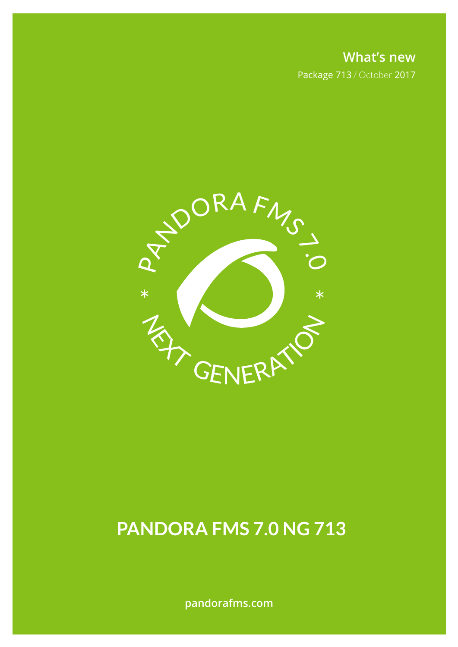**What's new** Package 713 / October 2017



# **PANDORA FMS 7.0 NG 713**

**pandorafms.com**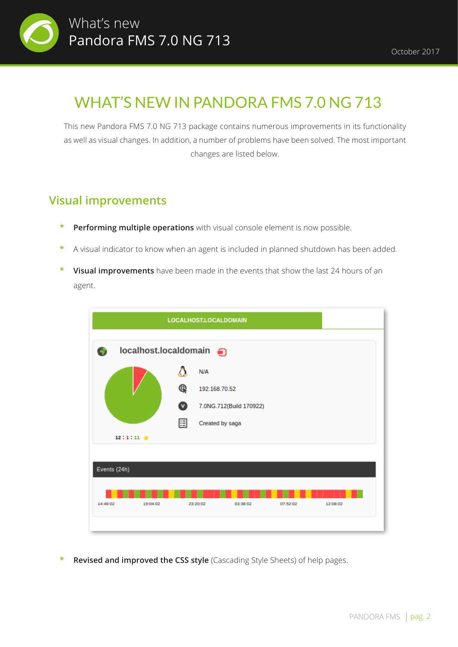

## WHAT'S NEW IN PANDORA FMS 7.0 NG 713

This new Pandora FMS 7.0 NG 713 package contains numerous improvements in its functionality as well as visual changes. In addition, a number of problems have been solved. The most important changes are listed below.

#### **Visual improvements**

- **\* Performing multiple operations** with visual console element is now possible.
- **\*** A visual indicator to know when an agent is included in planned shutdown has been added.
- **\* Visual improvements** have been made in the events that show the last 24 hours of an agent.



**Revised and improved the CSS style** (Cascading Style Sheets) of help pages.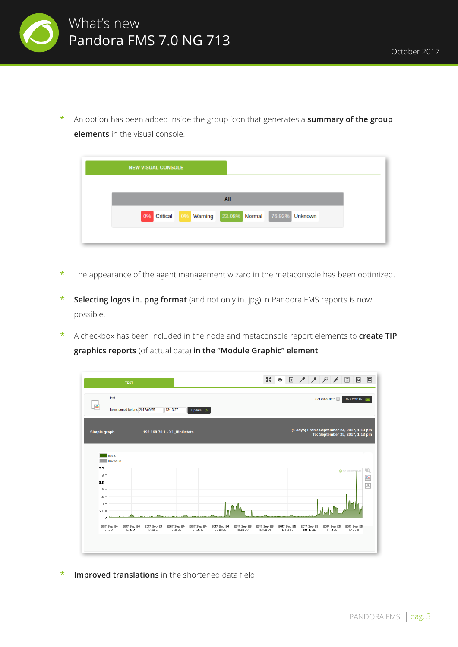

**\*** An option has been added inside the group icon that generates a **summary of the group elements** in the visual console.

| <b>NEW VISUAL CONSOLE</b> |            |     |                              |  |
|---------------------------|------------|-----|------------------------------|--|
|                           |            |     |                              |  |
|                           |            | All |                              |  |
| 0% Critical               | 0% Warning |     | 23.08% Normal 76.92% Unknown |  |
|                           |            |     |                              |  |

- **\*** The appearance of the agent management wizard in the metaconsole has been optimized.
- **Selecting logos in. png format** (and not only in. jpg) in Pandora FMS reports is now possible.
- **\*** A checkbox has been included in the node and metaconsole report elements to **create TIP graphics reports** (of actual data) **in the "Module Graphic" element**.

| <b>TEST</b>                                                                   |                                                                               | 20                                                 | ◎ 圧 / / / / 回<br>同<br>$\overline{\ln}$                                                                   |
|-------------------------------------------------------------------------------|-------------------------------------------------------------------------------|----------------------------------------------------|----------------------------------------------------------------------------------------------------------|
| test<br> ●<br>Items period before: 2017/09/25                                 | 13:13:27<br>Update $\rightarrow$                                              |                                                    | Set initial date<br>Get PDF file Road                                                                    |
| <b>Simple graph</b>                                                           | 192.168.70.1 - X1_ifInOctets                                                  |                                                    | (1 days) From: September 24, 2017, 1:13 pm<br>To: September 25, 2017, 1:13 pm                            |
| Data:<br>Unknown                                                              |                                                                               |                                                    |                                                                                                          |
| 3.5 M<br>3M                                                                   |                                                                               |                                                    | Q<br>PANDORAIMS                                                                                          |
| 2.5 M                                                                         |                                                                               |                                                    | Ķ                                                                                                        |
| 2M                                                                            |                                                                               |                                                    | $,\!$ $\!$ $\!$                                                                                          |
| 1.5 M                                                                         |                                                                               |                                                    |                                                                                                          |
| 1M                                                                            |                                                                               |                                                    |                                                                                                          |
| 500 K                                                                         |                                                                               |                                                    | WWW. MA                                                                                                  |
| 0                                                                             |                                                                               |                                                    |                                                                                                          |
| 2017 Sep 24<br>2017 Sep 24<br>2017 Sep 24<br>13:13:27<br>15:18:27<br>17:24:50 | 2017 Sep 24<br>2017 Sep 24<br>2017 Sep 24<br>19:31:33<br>21:35:13<br>23:41:55 | 2017 Sep 25<br>2017 Sep 25<br>01:48:27<br>03:58:21 | 2017 Sep 25<br>2017 Sep 25<br>2017 Sep 25<br>2017 Sep 25<br>06:03:05<br>08:06:46<br>10:13:28<br>12:23:11 |
|                                                                               |                                                                               |                                                    |                                                                                                          |
|                                                                               |                                                                               |                                                    |                                                                                                          |
|                                                                               |                                                                               |                                                    |                                                                                                          |

**\* Improved translations** in the shortened data field.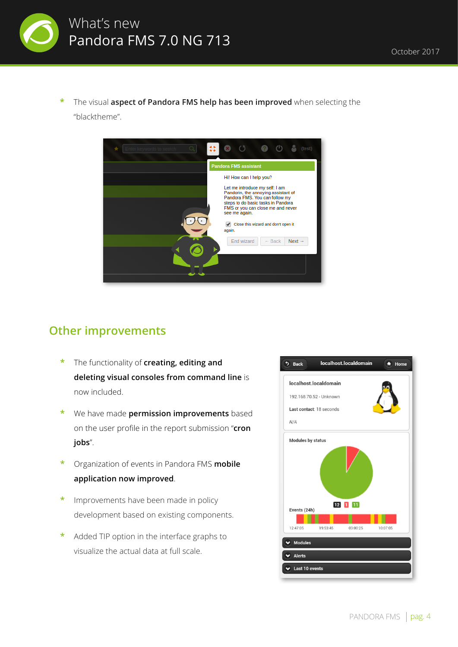

**\*** The visual **aspect of Pandora FMS help has been improved** when selecting the "blacktheme".



#### **Other improvements**

- **\*** The functionality of **creating, editing and deleting visual consoles from command line** is now included.
- **\*** We have made **permission improvements** based on the user profile in the report submission "**cron jobs**".
- **\*** Organization of events in Pandora FMS **mobile application now improved**.
- **\*** Improvements have been made in policy development based on existing components.
- **\*** Added TIP option in the interface graphs to visualize the actual data at full scale.

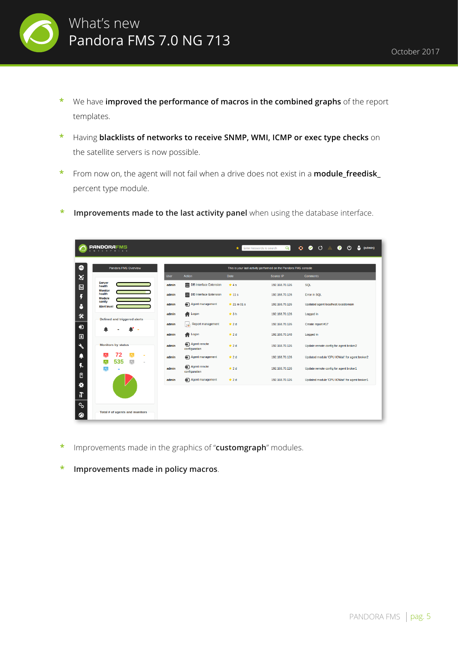

- **\*** We have **improved the performance of macros in the combined graphs** of the report templates.
- **\*** Having **blacklists of networks to receive SNMP, WMI, ICMP or exec type checks** on the satellite servers is now possible.
- **\*** From now on, the agent will not fail when a drive does not exist in a **module\_freedisk\_** percent type module.
- **Improvements made to the last activity panel when using the database interface.**

| <b>PANDORAF</b><br>м<br>$\bullet$<br>$\bullet$ $\circ$<br>$\alpha$<br>$\bullet$<br>$\left(1\right)$<br>(admin)<br>Enter keywords to search<br>$\star$ |                                                |             |                                 |                                                                 |                |                                               |  |  |  |
|-------------------------------------------------------------------------------------------------------------------------------------------------------|------------------------------------------------|-------------|---------------------------------|-----------------------------------------------------------------|----------------|-----------------------------------------------|--|--|--|
| $\sim$                                                                                                                                                | Pandora FMS Overview                           |             |                                 | This is your last activity performed on the Pandora FMS console |                |                                               |  |  |  |
| ×                                                                                                                                                     |                                                | <b>User</b> | <b>Action</b>                   | <b>Date</b>                                                     | Source IP      | <b>Comments</b>                               |  |  |  |
| $\Box$                                                                                                                                                | <b>Server</b><br>health<br><b>Monitor</b>      | admin       | <b>DB</b> Interface Extension   | $*4s$                                                           | 192.168.70.126 | SQL                                           |  |  |  |
|                                                                                                                                                       | health<br><b>Module</b>                        | admin       | DB Interface Extension          | $\pm$ 11 s                                                      | 192.168.70.126 | Error in SQL                                  |  |  |  |
| 8                                                                                                                                                     | sanity<br><b>Alert level</b>                   | admin       | Agent management                | $\star$ 21 m 01 s                                               | 192.168.70.126 | Updated agent localhost.localdomain           |  |  |  |
| 氽                                                                                                                                                     | Defined and triggered alerts<br>$\blacksquare$ | admin       | <sup>1</sup> Logon              | #3h                                                             | 192.168.70.126 | Logged in                                     |  |  |  |
| $\boldsymbol{\Theta}$                                                                                                                                 |                                                | admin       | <b>Report management</b><br>ra) | $\star$ 2 d                                                     | 192.168.70.126 | Create report #17                             |  |  |  |
| 回                                                                                                                                                     |                                                | admin       | <b>N</b> Logon                  | $*2d$                                                           | 192.168.70.148 | Logged in                                     |  |  |  |
| $\mathcal{L}$                                                                                                                                         | <b>Monitors by status</b>                      | admin       | Agent remote<br>configuration   | $*2d$                                                           | 192.168.70.126 | Update remote config for agent broker2        |  |  |  |
| ц                                                                                                                                                     | 72<br>ᄾ<br>535<br>人<br>٣Ł<br>$\blacksquare$    | admin       | Agent management                | $*2d$                                                           | 192.168.70.126 | Updated module 'CPU IOWait' for agent broker2 |  |  |  |
| 4.                                                                                                                                                    | ᄾ                                              | admin       | Agent remote<br>configuration   | $*2d$                                                           | 192.168.70.126 | Update remote config for agent broker1        |  |  |  |
| ₿<br>۰                                                                                                                                                |                                                | admin       | Agent management                | $*2d$                                                           | 192.168.70.126 | Updated module 'CPU IOWait' for agent broker1 |  |  |  |
| 疝                                                                                                                                                     |                                                |             |                                 |                                                                 |                |                                               |  |  |  |
| ್ರ<br>◙                                                                                                                                               | Total # of agents and monitors                 |             |                                 |                                                                 |                |                                               |  |  |  |

- **\*** Improvements made in the graphics of "**customgraph**" modules.
- **\* Improvements made in policy macros**.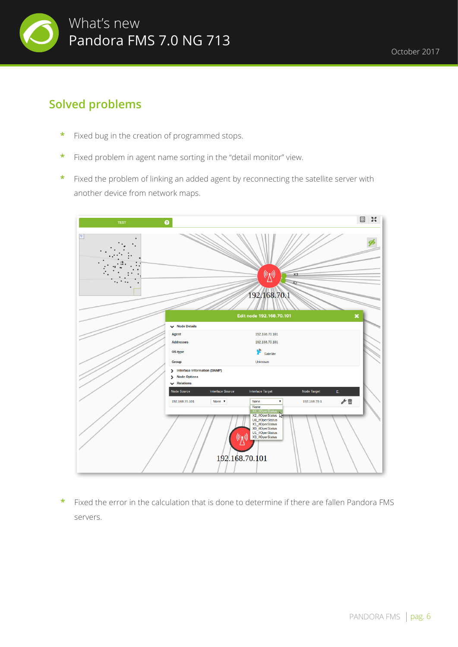

### **Solved problems**

- **\*** Fixed bug in the creation of programmed stops.
- **\*** Fixed problem in agent name sorting in the "detail monitor" view.
- **\*** Fixed the problem of linking an added agent by reconnecting the satellite server with another device from network maps.



**\*** Fixed the error in the calculation that is done to determine if there are fallen Pandora FMS servers.